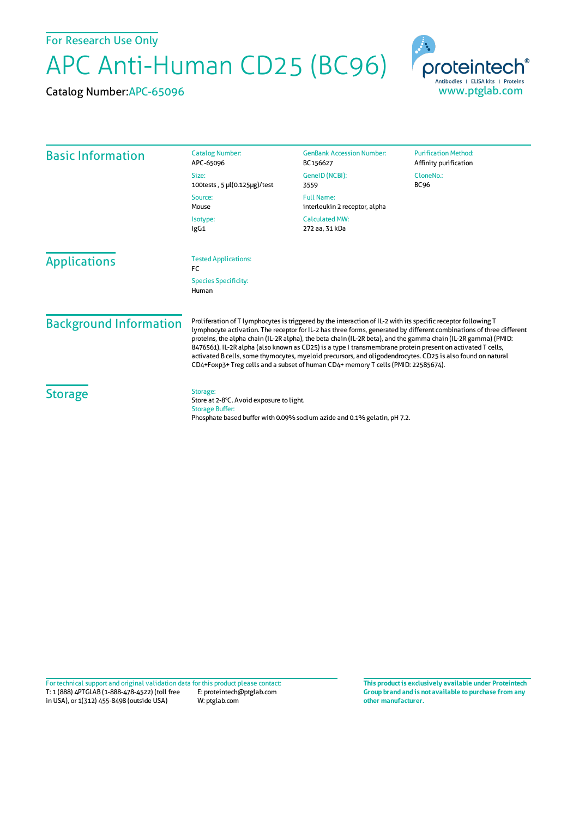For Research Use Only

## APC Anti-Human CD25 (BC96)

Catalog Number:APC-65096



| <b>Basic Information</b>      | <b>Catalog Number:</b><br>APC-65096                                                                                                                                                                                                                                                                                                                                                                                                                                                                                                                                                                                                                                      | <b>GenBank Accession Number:</b><br>BC156627                             | <b>Purification Method:</b><br>Affinity purification |
|-------------------------------|--------------------------------------------------------------------------------------------------------------------------------------------------------------------------------------------------------------------------------------------------------------------------------------------------------------------------------------------------------------------------------------------------------------------------------------------------------------------------------------------------------------------------------------------------------------------------------------------------------------------------------------------------------------------------|--------------------------------------------------------------------------|------------------------------------------------------|
|                               | Size:<br>100tests, 5 µl(0.125µg)/test                                                                                                                                                                                                                                                                                                                                                                                                                                                                                                                                                                                                                                    | GenelD (NCBI):<br>3559                                                   | CloneNo.:<br><b>BC96</b>                             |
|                               | Source:<br>Mouse                                                                                                                                                                                                                                                                                                                                                                                                                                                                                                                                                                                                                                                         | <b>Full Name:</b><br>interleukin 2 receptor, alpha                       |                                                      |
|                               | Isotype:<br>IgG1                                                                                                                                                                                                                                                                                                                                                                                                                                                                                                                                                                                                                                                         | <b>Calculated MW:</b><br>272 aa, 31 kDa                                  |                                                      |
| <b>Applications</b>           | <b>Tested Applications:</b><br><b>FC</b>                                                                                                                                                                                                                                                                                                                                                                                                                                                                                                                                                                                                                                 |                                                                          |                                                      |
|                               | <b>Species Specificity:</b><br>Human                                                                                                                                                                                                                                                                                                                                                                                                                                                                                                                                                                                                                                     |                                                                          |                                                      |
| <b>Background Information</b> | Proliferation of T lymphocytes is triggered by the interaction of IL-2 with its specific receptor following T<br>lymphocyte activation. The receptor for IL-2 has three forms, generated by different combinations of three different<br>proteins, the alpha chain (IL-2R alpha), the beta chain (IL-2R beta), and the gamma chain (IL-2R gamma) (PMID:<br>8476561). IL-2R alpha (also known as CD25) is a type I transmembrane protein present on activated T cells,<br>activated B cells, some thymocytes, myeloid precursors, and oligodendrocytes. CD25 is also found on natural<br>CD4+Foxp3+Treg cells and a subset of human CD4+ memory T cells (PMID: 22585674). |                                                                          |                                                      |
| <b>Storage</b>                | Storage:<br>Store at 2-8°C. Avoid exposure to light.<br><b>Storage Buffer:</b>                                                                                                                                                                                                                                                                                                                                                                                                                                                                                                                                                                                           | Phosphate based buffer with 0.09% sodium azide and 0.1% gelatin, pH 7.2. |                                                      |

T: 1 (888) 4PTGLAB (1-888-478-4522) (toll free in USA), or 1(312) 455-8498 (outside USA) E: proteintech@ptglab.com W: ptglab.com Fortechnical support and original validation data forthis product please contact: **This productis exclusively available under Proteintech**

**Group brand and is not available to purchase from any other manufacturer.**